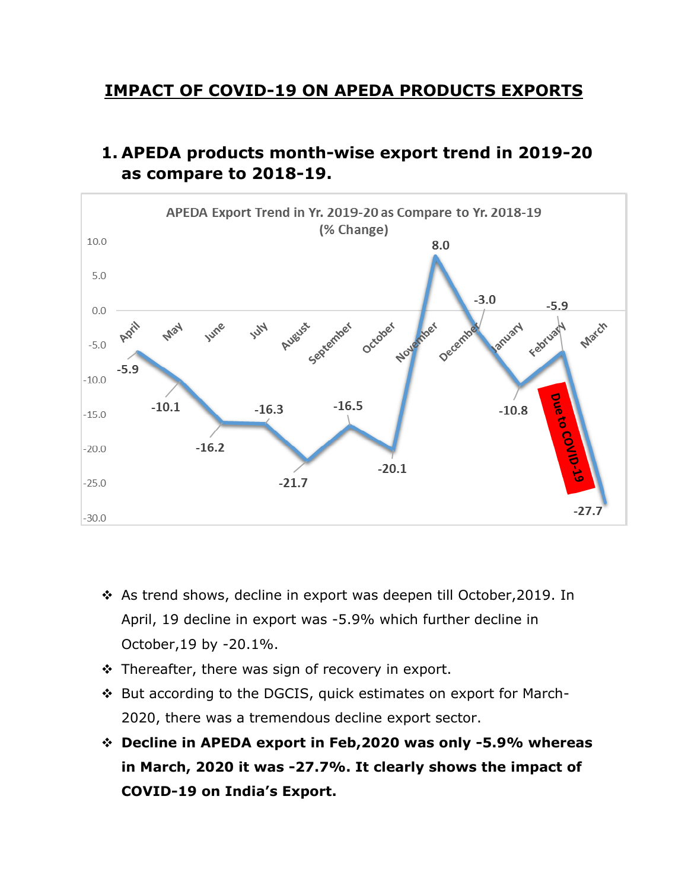## **IMPACT OF COVID-19 ON APEDA PRODUCTS EXPORTS**

## **1. APEDA products month-wise export trend in 2019-20 as compare to 2018-19.**



- As trend shows, decline in export was deepen till October,2019. In April, 19 decline in export was -5.9% which further decline in October,19 by -20.1%.
- $\cdot$  Thereafter, there was sign of recovery in export.
- But according to the DGCIS, quick estimates on export for March-2020, there was a tremendous decline export sector.
- **Decline in APEDA export in Feb,2020 was only -5.9% whereas in March, 2020 it was -27.7%. It clearly shows the impact of COVID-19 on India's Export.**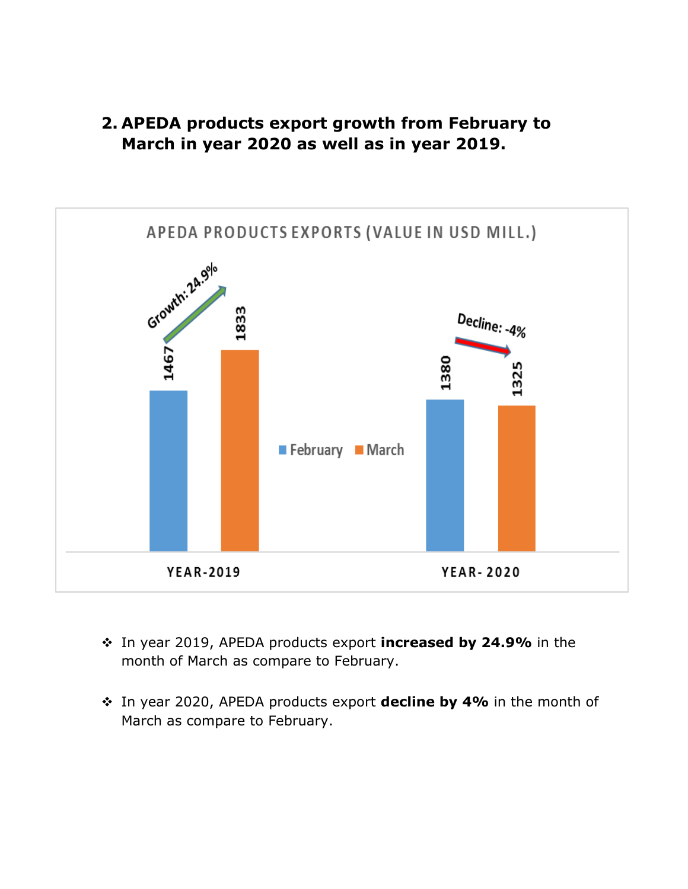



- In year 2019, APEDA products export **increased by 24.9%** in the month of March as compare to February.
- In year 2020, APEDA products export **decline by 4%** in the month of March as compare to February.